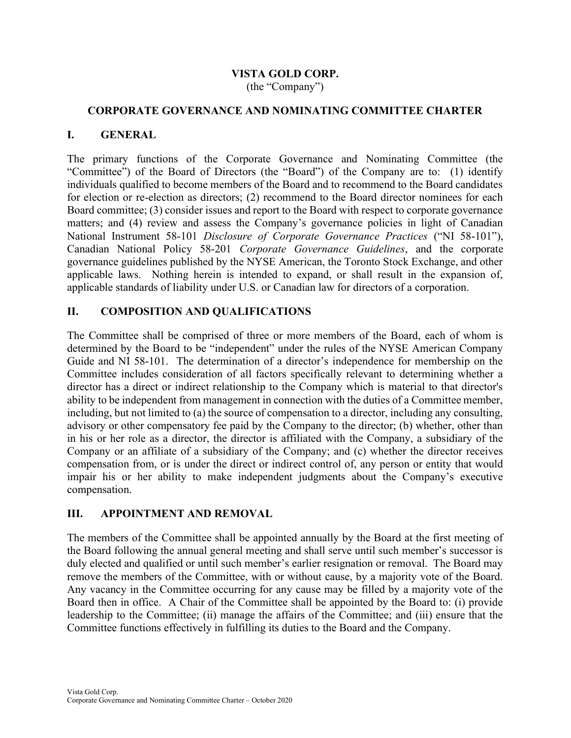# VISTA GOLD CORP.

(the "Company")

#### CORPORATE GOVERNANCE AND NOMINATING COMMITTEE CHARTER

#### I. GENERAL

The primary functions of the Corporate Governance and Nominating Committee (the "Committee") of the Board of Directors (the "Board") of the Company are to: (1) identify individuals qualified to become members of the Board and to recommend to the Board candidates for election or re-election as directors; (2) recommend to the Board director nominees for each Board committee; (3) consider issues and report to the Board with respect to corporate governance matters; and (4) review and assess the Company's governance policies in light of Canadian National Instrument 58-101 Disclosure of Corporate Governance Practices ("NI 58-101"), Canadian National Policy 58-201 Corporate Governance Guidelines, and the corporate governance guidelines published by the NYSE American, the Toronto Stock Exchange, and other applicable laws. Nothing herein is intended to expand, or shall result in the expansion of, applicable standards of liability under U.S. or Canadian law for directors of a corporation.

## II. COMPOSITION AND QUALIFICATIONS

The Committee shall be comprised of three or more members of the Board, each of whom is determined by the Board to be "independent" under the rules of the NYSE American Company Guide and NI 58-101. The determination of a director's independence for membership on the Committee includes consideration of all factors specifically relevant to determining whether a director has a direct or indirect relationship to the Company which is material to that director's ability to be independent from management in connection with the duties of a Committee member, including, but not limited to (a) the source of compensation to a director, including any consulting, advisory or other compensatory fee paid by the Company to the director; (b) whether, other than in his or her role as a director, the director is affiliated with the Company, a subsidiary of the Company or an affiliate of a subsidiary of the Company; and (c) whether the director receives compensation from, or is under the direct or indirect control of, any person or entity that would impair his or her ability to make independent judgments about the Company's executive compensation.

#### III. APPOINTMENT AND REMOVAL

The members of the Committee shall be appointed annually by the Board at the first meeting of the Board following the annual general meeting and shall serve until such member's successor is duly elected and qualified or until such member's earlier resignation or removal. The Board may remove the members of the Committee, with or without cause, by a majority vote of the Board. Any vacancy in the Committee occurring for any cause may be filled by a majority vote of the Board then in office. A Chair of the Committee shall be appointed by the Board to: (i) provide leadership to the Committee; (ii) manage the affairs of the Committee; and (iii) ensure that the Committee functions effectively in fulfilling its duties to the Board and the Company.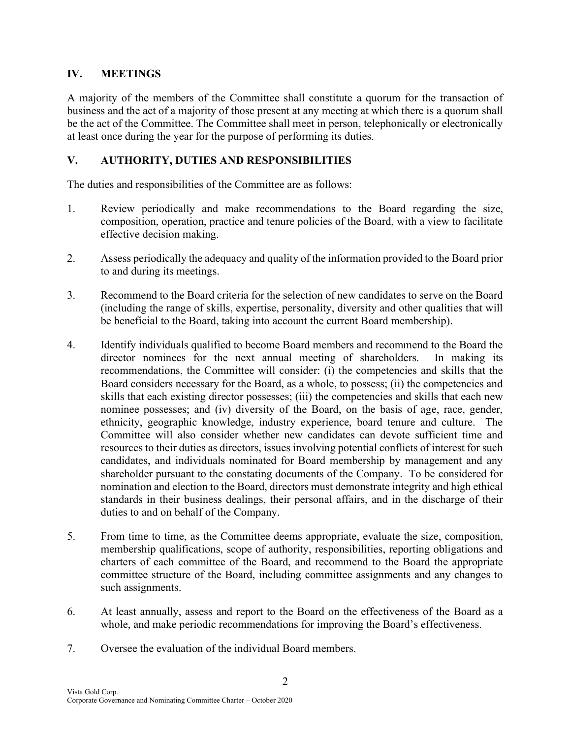## IV. MEETINGS

A majority of the members of the Committee shall constitute a quorum for the transaction of business and the act of a majority of those present at any meeting at which there is a quorum shall be the act of the Committee. The Committee shall meet in person, telephonically or electronically at least once during the year for the purpose of performing its duties.

## V. AUTHORITY, DUTIES AND RESPONSIBILITIES

The duties and responsibilities of the Committee are as follows:

- 1. Review periodically and make recommendations to the Board regarding the size, composition, operation, practice and tenure policies of the Board, with a view to facilitate effective decision making.
- 2. Assess periodically the adequacy and quality of the information provided to the Board prior to and during its meetings.
- 3. Recommend to the Board criteria for the selection of new candidates to serve on the Board (including the range of skills, expertise, personality, diversity and other qualities that will be beneficial to the Board, taking into account the current Board membership).
- 4. Identify individuals qualified to become Board members and recommend to the Board the director nominees for the next annual meeting of shareholders. In making its recommendations, the Committee will consider: (i) the competencies and skills that the Board considers necessary for the Board, as a whole, to possess; (ii) the competencies and skills that each existing director possesses; (iii) the competencies and skills that each new nominee possesses; and (iv) diversity of the Board, on the basis of age, race, gender, ethnicity, geographic knowledge, industry experience, board tenure and culture. The Committee will also consider whether new candidates can devote sufficient time and resources to their duties as directors, issues involving potential conflicts of interest for such candidates, and individuals nominated for Board membership by management and any shareholder pursuant to the constating documents of the Company. To be considered for nomination and election to the Board, directors must demonstrate integrity and high ethical standards in their business dealings, their personal affairs, and in the discharge of their duties to and on behalf of the Company.
- 5. From time to time, as the Committee deems appropriate, evaluate the size, composition, membership qualifications, scope of authority, responsibilities, reporting obligations and charters of each committee of the Board, and recommend to the Board the appropriate committee structure of the Board, including committee assignments and any changes to such assignments.
- 6. At least annually, assess and report to the Board on the effectiveness of the Board as a whole, and make periodic recommendations for improving the Board's effectiveness.
- 7. Oversee the evaluation of the individual Board members.